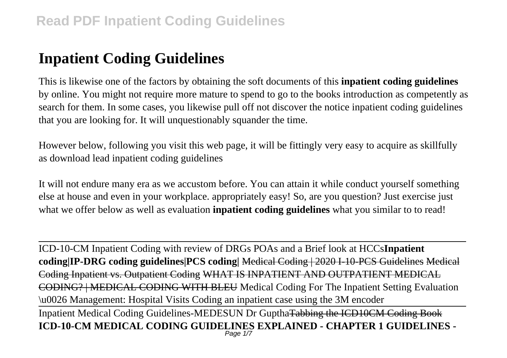# **Inpatient Coding Guidelines**

This is likewise one of the factors by obtaining the soft documents of this **inpatient coding guidelines** by online. You might not require more mature to spend to go to the books introduction as competently as search for them. In some cases, you likewise pull off not discover the notice inpatient coding guidelines that you are looking for. It will unquestionably squander the time.

However below, following you visit this web page, it will be fittingly very easy to acquire as skillfully as download lead inpatient coding guidelines

It will not endure many era as we accustom before. You can attain it while conduct yourself something else at house and even in your workplace. appropriately easy! So, are you question? Just exercise just what we offer below as well as evaluation **inpatient coding guidelines** what you similar to to read!

ICD-10-CM Inpatient Coding with review of DRGs POAs and a Brief look at HCCs**Inpatient coding|IP-DRG coding guidelines|PCS coding|** Medical Coding | 2020 I-10-PCS Guidelines Medical Coding Inpatient vs. Outpatient Coding WHAT IS INPATIENT AND OUTPATIENT MEDICAL CODING? | MEDICAL CODING WITH BLEU Medical Coding For The Inpatient Setting Evaluation \u0026 Management: Hospital Visits Coding an inpatient case using the 3M encoder Inpatient Medical Coding Guidelines-MEDESUN Dr GupthaTabbing the ICD10CM Coding Book **ICD-10-CM MEDICAL CODING GUIDELINES EXPLAINED - CHAPTER 1 GUIDELINES -** Page 1/7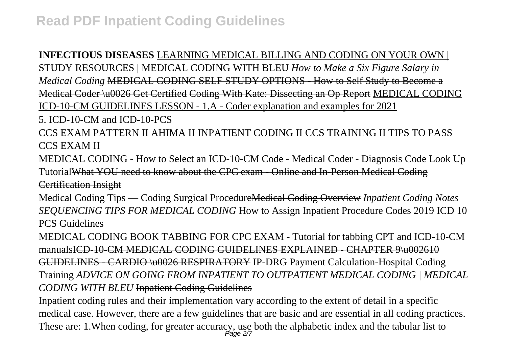## **INFECTIOUS DISEASES** LEARNING MEDICAL BILLING AND CODING ON YOUR OWN |

STUDY RESOURCES | MEDICAL CODING WITH BLEU *How to Make a Six Figure Salary in Medical Coding* MEDICAL CODING SELF STUDY OPTIONS - How to Self Study to Become a Medical Coder \u0026 Get Certified Coding With Kate: Dissecting an Op Report MEDICAL CODING ICD-10-CM GUIDELINES LESSON - 1.A - Coder explanation and examples for 2021

5. ICD-10-CM and ICD-10-PCS

CCS EXAM PATTERN II AHIMA II INPATIENT CODING II CCS TRAINING II TIPS TO PASS CCS EXAM II

MEDICAL CODING - How to Select an ICD-10-CM Code - Medical Coder - Diagnosis Code Look Up TutorialWhat YOU need to know about the CPC exam - Online and In-Person Medical Coding Certification Insight

Medical Coding Tips — Coding Surgical ProcedureMedical Coding Overview *Inpatient Coding Notes SEQUENCING TIPS FOR MEDICAL CODING* How to Assign Inpatient Procedure Codes 2019 ICD 10 PCS Guidelines

MEDICAL CODING BOOK TABBING FOR CPC EXAM - Tutorial for tabbing CPT and ICD-10-CM manualsICD-10-CM MEDICAL CODING GUIDELINES EXPLAINED - CHAPTER 9\u002610 GUIDELINES - CARDIO \u0026 RESPIRATORY IP-DRG Payment Calculation-Hospital Coding Training *ADVICE ON GOING FROM INPATIENT TO OUTPATIENT MEDICAL CODING | MEDICAL CODING WITH BLEU* Inpatient Coding Guidelines

Inpatient coding rules and their implementation vary according to the extent of detail in a specific medical case. However, there are a few guidelines that are basic and are essential in all coding practices. These are: 1. When coding, for greater accuracy, use both the alphabetic index and the tabular list to  $P_{\text{age 2/7}}$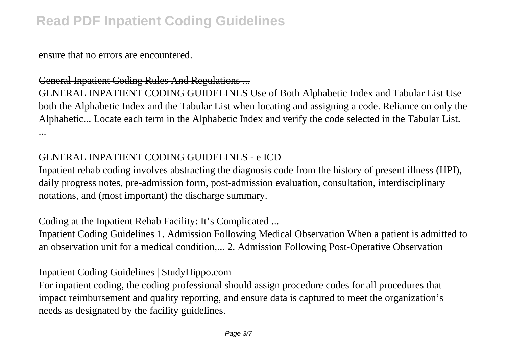ensure that no errors are encountered.

### General Inpatient Coding Rules And Regulations ...

GENERAL INPATIENT CODING GUIDELINES Use of Both Alphabetic Index and Tabular List Use both the Alphabetic Index and the Tabular List when locating and assigning a code. Reliance on only the Alphabetic... Locate each term in the Alphabetic Index and verify the code selected in the Tabular List. ...

### GENERAL INPATIENT CODING GUIDELINES - e ICD

Inpatient rehab coding involves abstracting the diagnosis code from the history of present illness (HPI), daily progress notes, pre-admission form, post-admission evaluation, consultation, interdisciplinary notations, and (most important) the discharge summary.

### Coding at the Inpatient Rehab Facility: It's Complicated ...

Inpatient Coding Guidelines 1. Admission Following Medical Observation When a patient is admitted to an observation unit for a medical condition,... 2. Admission Following Post-Operative Observation

### Inpatient Coding Guidelines | StudyHippo.com

For inpatient coding, the coding professional should assign procedure codes for all procedures that impact reimbursement and quality reporting, and ensure data is captured to meet the organization's needs as designated by the facility guidelines.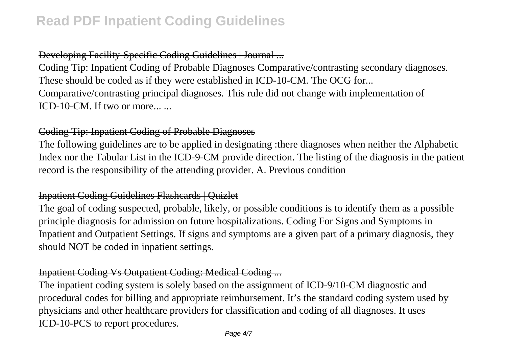## Developing Facility-Specific Coding Guidelines | Journal ...

Coding Tip: Inpatient Coding of Probable Diagnoses Comparative/contrasting secondary diagnoses. These should be coded as if they were established in ICD-10-CM. The OCG for... Comparative/contrasting principal diagnoses. This rule did not change with implementation of ICD-10-CM. If two or more...

### Coding Tip: Inpatient Coding of Probable Diagnoses

The following guidelines are to be applied in designating :there diagnoses when neither the Alphabetic Index nor the Tabular List in the ICD-9-CM provide direction. The listing of the diagnosis in the patient record is the responsibility of the attending provider. A. Previous condition

## Inpatient Coding Guidelines Flashcards | Quizlet

The goal of coding suspected, probable, likely, or possible conditions is to identify them as a possible principle diagnosis for admission on future hospitalizations. Coding For Signs and Symptoms in Inpatient and Outpatient Settings. If signs and symptoms are a given part of a primary diagnosis, they should NOT be coded in inpatient settings.

## Inpatient Coding Vs Outpatient Coding: Medical Coding ...

The inpatient coding system is solely based on the assignment of ICD-9/10-CM diagnostic and procedural codes for billing and appropriate reimbursement. It's the standard coding system used by physicians and other healthcare providers for classification and coding of all diagnoses. It uses ICD-10-PCS to report procedures.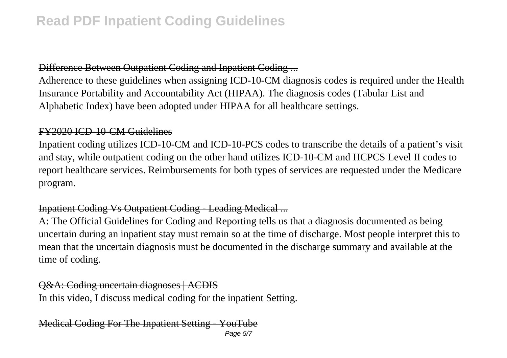## Difference Between Outpatient Coding and Inpatient Coding ...

Adherence to these guidelines when assigning ICD-10-CM diagnosis codes is required under the Health Insurance Portability and Accountability Act (HIPAA). The diagnosis codes (Tabular List and Alphabetic Index) have been adopted under HIPAA for all healthcare settings.

#### FY2020 ICD-10-CM Guidelines

Inpatient coding utilizes ICD-10-CM and ICD-10-PCS codes to transcribe the details of a patient's visit and stay, while outpatient coding on the other hand utilizes ICD-10-CM and HCPCS Level II codes to report healthcare services. Reimbursements for both types of services are requested under the Medicare program.

### Inpatient Coding Vs Outpatient Coding - Leading Medical ...

A: The Official Guidelines for Coding and Reporting tells us that a diagnosis documented as being uncertain during an inpatient stay must remain so at the time of discharge. Most people interpret this to mean that the uncertain diagnosis must be documented in the discharge summary and available at the time of coding.

## Q&A: Coding uncertain diagnoses | ACDIS

In this video, I discuss medical coding for the inpatient Setting.

#### Medical Coding For The Inpatient Setting - YouTube Page 5/7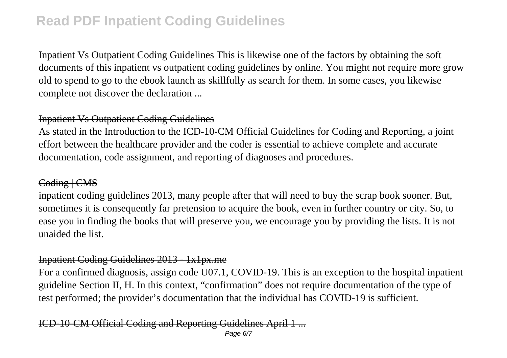Inpatient Vs Outpatient Coding Guidelines This is likewise one of the factors by obtaining the soft documents of this inpatient vs outpatient coding guidelines by online. You might not require more grow old to spend to go to the ebook launch as skillfully as search for them. In some cases, you likewise complete not discover the declaration ...

### Inpatient Vs Outpatient Coding Guidelines

As stated in the Introduction to the ICD-10-CM Official Guidelines for Coding and Reporting, a joint effort between the healthcare provider and the coder is essential to achieve complete and accurate documentation, code assignment, and reporting of diagnoses and procedures.

### Coding | CMS

inpatient coding guidelines 2013, many people after that will need to buy the scrap book sooner. But, sometimes it is consequently far pretension to acquire the book, even in further country or city. So, to ease you in finding the books that will preserve you, we encourage you by providing the lists. It is not unaided the list.

### Inpatient Coding Guidelines 2013 - 1x1px.me

For a confirmed diagnosis, assign code U07.1, COVID-19. This is an exception to the hospital inpatient guideline Section II, H. In this context, "confirmation" does not require documentation of the type of test performed; the provider's documentation that the individual has COVID-19 is sufficient.

## ICD-10-CM Official Coding and Reporting Guidelines April 1 ...